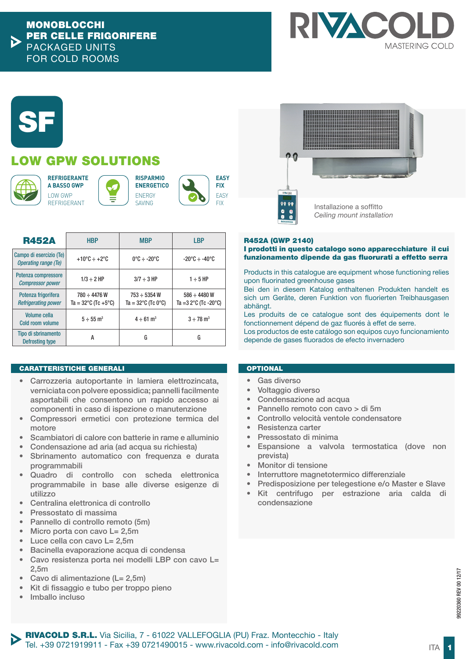

# **SF**

# LOW GPW SOLUTIONS



**REFRIGERANTE A BASSO GWP** LOW GWP REFRIGERANT







R452A HBP MBP LBP Campo di esercizio (Te) *Operating range (Te)*  $+10^{\circ}$ C  $+2^{\circ}$ C  $0^{\circ}$ C  $+2^{\circ}$ C  $-20^{\circ}$ C  $-20^{\circ}$ C  $+40^{\circ}$ C Potenza compressore *Compressor power* 1/3 ÷ 2 HP 3/7 ÷ 3 HP 1 ÷ 5 HP Potenza frigorifera *Refrigerating power* 780 ÷ 4476 W Ta =  $32^{\circ}$ C (Tc +5 $^{\circ}$ C)  $753 - 5354$  W  $Ta = 32^{\circ}C$  (Tc 0°C)  $586 \div 4480 W$ Ta =3 2°C (Tc -20°C) Volume cella Cold room volume  $5 \div 55$  m<sup>3</sup> 4  $\div 61$  m<sup>3</sup> 3  $\div 78$  m<sup>3</sup> Tipo di sbrinamento Defrosting type AGG

## CARATTERISTICHE GENERALI

- Carrozzeria autoportante in lamiera elettrozincata, verniciata con polvere epossidica; pannelli facilmente asportabili che consentono un rapido accesso ai componenti in caso di ispezione o manutenzione
- Compressori ermetici con protezione termica del motore
- Scambiatori di calore con batterie in rame e alluminio
- Condensazione ad aria (ad acqua su richiesta)
- Sbrinamento automatico con frequenza e durata programmabili
- Quadro di controllo con scheda elettronica programmabile in base alle diverse esigenze di utilizzo
- Centralina elettronica di controllo
- Pressostato di massima
- Pannello di controllo remoto (5m)
- Micro porta con cavo L= 2.5m
- Luce cella con cavo L= 2,5m
- Bacinella evaporazione acqua di condensa
- Cavo resistenza porta nei modelli LBP con cavo L= 2,5m
- Cavo di alimentazione (L= 2.5m)
- Kit di fissaggio e tubo per troppo pieno
- Imballo incluso

# **OPTIONAL**

- Gas diverso
- Voltaggio diverso
- Condensazione ad acqua
- Pannello remoto con cavo > di 5m
- Controllo velocità ventole condensatore
- Resistenza carter
- Pressostato di minima
- Espansione a valvola termostatica (dove non prevista)
- Monitor di tensione
- Interruttore magnetotermico differenziale
- Predisposizione per telegestione e/o Master e Slave
- Kit centrifugo per estrazione aria calda di condensazione





**RISPARMIO ENERGETICO**



R452A (GWP 2140)

I prodotti in questo catalogo sono apparecchiature il cui funzionamento dipende da gas fluorurati a effetto serra

Products in this catalogue are equipment whose functioning relies upon fluorinated greenhouse gases

Bei den in diesem Katalog enthaltenen Produkten handelt es sich um Geräte, deren Funktion von fluorierten Treibhausgasen abhängt.

Les produits de ce catalogue sont des équipements dont le

Los productos de este catálogo son equipos cuyo funcionamiento

fonctionnement dépend de gaz fluorés à effet de serre.

depende de gases fluorados de efecto invernadero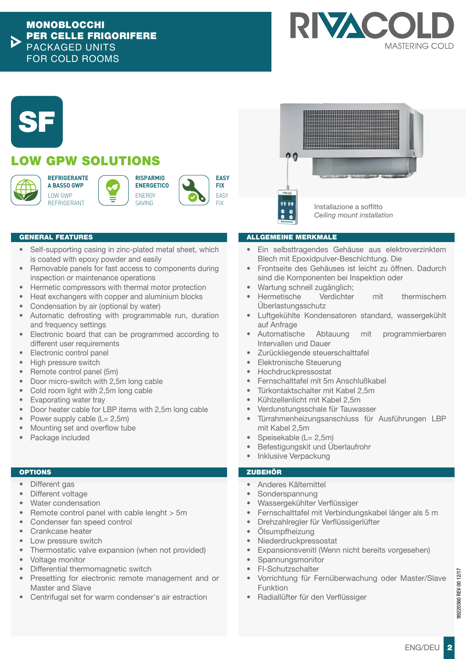



## GENERAL FEATURES

- Self-supporting casing in zinc-plated metal sheet, which is coated with epoxy powder and easily
- Removable panels for fast access to components during inspection or maintenance operations
- Hermetic compressors with thermal motor protection
- Heat exchangers with copper and aluminium blocks
- Condensation by air (optional by water)
- Automatic defrosting with programmable run, duration and frequency settings
- Electronic board that can be programmed according to different user requirements
- Electronic control panel
- High pressure switch
- Remote control panel (5m)
- Door micro-switch with 2,5m long cable
- Cold room light with 2,5m long cable
- Evaporating water tray
- Door heater cable for LBP items with 2,5m long cable
- Power supply cable  $(L = 2.5m)$
- Mounting set and overflow tube
- Package included

## **OPTIONS**

- Different gas
- Different voltage
- Water condensation
- Remote control panel with cable lenght > 5m
- Condenser fan speed control
- Crankcase heater
- Low pressure switch
- Thermostatic valve expansion (when not provided)
- Voltage monitor
- Differential thermomagnetic switch
- Presetting for electronic remote management and or Master and Slave
- Centrifugal set for warm condenser's air estraction

## ALLGEMEINE MERKMALE

- Ein selbsttragendes Gehäuse aus elektroverzinktem Blech mit Epoxidpulver-Beschichtung. Die
- Frontseite des Gehäuses ist leicht zu öffnen. Dadurch sind die Komponenten bei Inspektion oder
- Wartung schnell zugänglich;
- Hermetische Verdichter mit thermischem Überlastungsschutz
- Luftgekühlte Kondensatoren standard, wassergekühlt auf Anfrage
- Automatische Abtauung mit programmierbaren Intervallen und Dauer
- Zurückliegende steuerschalttafel
- Elektronische Steuerung
- Hochdruckpressostat
- Fernschalttafel mit 5m Anschlußkabel
- Türkontaktschalter mit Kabel 2,5m
- Kühlzellenlicht mit Kabel 2,5m
- Verdunstungsschale für Tauwasser
- Türrahmenheizungsanschluss für Ausführungen LBP mit Kabel 2,5m
- Speisekable (L= 2,5m)
- Befestigungskit und Überlaufrohr
- Inklusive Verpackung

## ZUBEHÖR

- Anderes Kältemittel
- Sonderspannung
- Wassergekühlter Verflüssiger
- Fernschalttafel mit Verbindungskabel länger als 5 m
- Drehzahlregler für Verflüssigerlüfter
- Ölsumpfheizung
- **Niederdruckpressostat**
- Expansionsvenitl (Wenn nicht bereits vorgesehen)
- **Spannungsmonitor**
- FI-Schutzschalter
- Vorrichtung für Fernüberwachung oder Master/Slave Funktion
- Radiallüfter für den Verflüssiger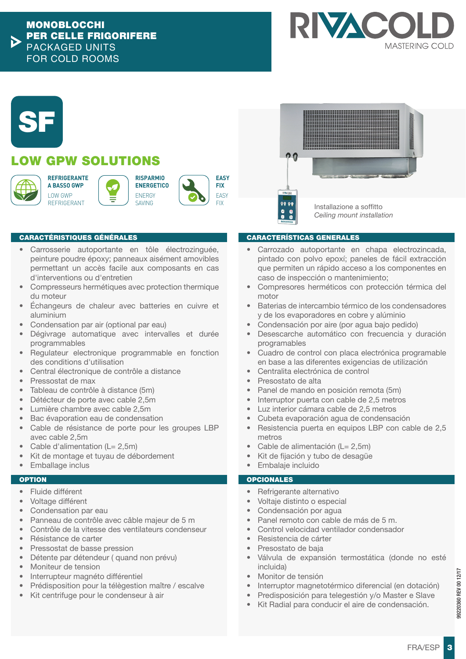



# LOW GPW SOLUTIONS



**A BASSO GWP** LOW GWP REFRIGERANT

**REFRIGERANTE**









FIX **PRESET INSTALLAZIONE A SOffitto** *Ceiling mount installation* 

## CARACTÉRISTIQUES GÉNÉRALES

- Carrosserie autoportante en tôle électrozinguée, peinture poudre époxy; panneaux aisément amovibles permettant un accès facile aux composants en cas d'interventions ou d'entretien
- Compresseurs hermétiques avec protection thermique du moteur
- Échangeurs de chaleur avec batteries en cuivre et aluminium
- Condensation par air (optional par eau)
- Dégivrage automatique avec intervalles et durée programmables
- Regulateur electronique programmable en fonction des conditions d'utilisation
- Central électronique de contrôle a distance
- Pressostat de max
- Tableau de contrôle à distance (5m)
- Détécteur de porte avec cable 2,5m
- Lumière chambre avec cable 2,5m
- Bac évaporation eau de condensation
- Cable de résistance de porte pour les groupes LBP avec cable 2,5m
- Cable d'alimentation ( $L = 2,5m$ )
- Kit de montage et tuyau de débordement
- **Emballage inclus**

## **OPTION**

- Fluide différent
- Voltage différent
- Condensation par eau
- Panneau de contrôle avec câble majeur de 5 m
- Contrôle de la vitesse des ventilateurs condenseur
- Résistance de carter
- Pressostat de basse pression
- Détente par détendeur ( quand non prévu)
- Moniteur de tension
- Interrupteur magnéto différentiel
- Prédisposition pour la télègestion maître / escalve
- Kit centrifuge pour le condenseur à air

## CARACTERÍSTICAS GENERALES

- Carrozado autoportante en chapa electrozincada, pintado con polvo epoxí; paneles de fácil extracción que permiten un rápido acceso a los componentes en caso de inspección o mantenimiento;
- Compresores herméticos con protección térmica del motor
- Baterias de intercambio térmico de los condensadores y de los evaporadores en cobre y alúminio
- Condensación por aire (por agua bajo pedido)
- Desescarche automático con frecuencia y duración programables
- Cuadro de control con placa electrónica programable en base a las diferentes exigencias de utilización
- Centralita electrónica de control
- Presostato de alta
- Panel de mando en posición remota (5m)
- Interruptor puerta con cable de 2,5 metros
- Luz interior cámara cable de 2,5 metros
- Cubeta evaporación agua de condensación
- Resistencia puerta en equipos LBP con cable de 2,5 metros
- Cable de alimentación (L= 2,5m)
- Kit de fijación y tubo de desagüe
- Embalaje incluido

## **OPCIONALES**

- Refrigerante alternativo
- Voltaje distinto o especial
- Condensación por agua
- Panel remoto con cable de más de 5 m.
- Control velocidad ventilador condensador
- Resistencia de cárter
- Presostato de baja
- Válvula de expansión termostática (donde no esté incluida)
- Monitor de tensión
- Interruptor magnetotérmico diferencial (en dotación)
- Predisposición para telegestión y/o Master e Slave
- Kit Radial para conducir el aire de condensación.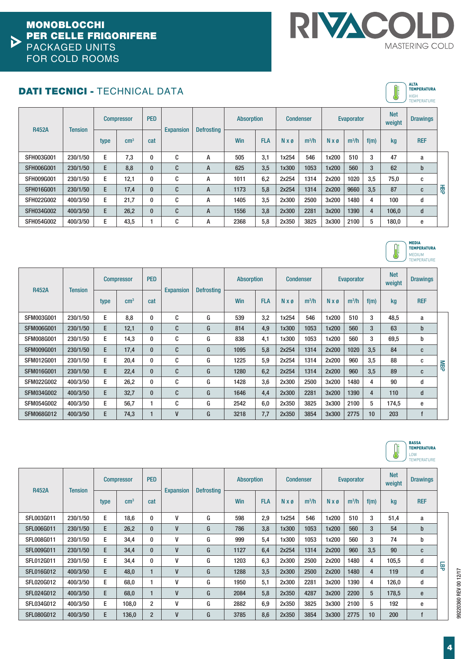

**ALTA<br>TEMPERATURA** 

MEDIA TEMPERATURA MEDIUM TEMPERATURE

# DATI TECNICI - TECHNICAL DATA ALTA

|                   |                |      |                   |            |                  |                   |                   |            |       |                  |       |            |      | $\cup$               | HIGH<br><b>TEMPERATURE</b> |   |
|-------------------|----------------|------|-------------------|------------|------------------|-------------------|-------------------|------------|-------|------------------|-------|------------|------|----------------------|----------------------------|---|
| <b>R452A</b>      | <b>Tension</b> |      | <b>Compressor</b> | <b>PED</b> | <b>Expansion</b> | <b>Defrosting</b> | <b>Absorption</b> |            |       | <b>Condenser</b> |       | Evaporator |      | <b>Net</b><br>weight | <b>Drawings</b>            |   |
|                   |                | type | $\rm cm^{3}$      | cat        |                  |                   | Win               | <b>FLA</b> | N x ø | $m^3/h$          | N x ø | $m^3/h$    | f(m) | kg                   | <b>REF</b>                 |   |
| SFH003G001        | 230/1/50       | E    | 7,3               | $\bf{0}$   | C                | А                 | 505               | 3,1        | 1x254 | 546              | 1x200 | 510        | 3    | 47                   | a                          |   |
| <b>SFH006G001</b> | 230/1/50       | E    | 8,8               | $\bf{0}$   | C                | A                 | 625               | 3,5        | 1x300 | 1053             | 1x200 | 560        | 3    | 62                   | $\mathbf b$                |   |
| <b>SFH009G001</b> | 230/1/50       | E    | 12,1              | $\bf{0}$   | C                | А                 | 1011              | 6,2        | 2x254 | 1314             | 2x200 | 1020       | 3,5  | 75,0                 | C                          |   |
| <b>SFH016G001</b> | 230/1/50       | E.   | 17,4              | $\bf{0}$   | C                | A                 | 1173              | 5,8        | 2x254 | 1314             | 2x200 | 9660       | 3.5  | 87                   | C                          | 毒 |
| SFH022G002        | 400/3/50       | E    | 21,7              | $\bf{0}$   | C                | A                 | 1405              | 3,5        | 2x300 | 2500             | 3x200 | 1480       | 4    | 100                  | d                          |   |
| SFH034G002        | 400/3/50       | E.   | 26,2              | $\bf{0}$   | C                | A                 | 1556              | 3,8        | 2x300 | 2281             | 3x200 | 1390       | 4    | 106,0                | d                          |   |
| SFH054G002        | 400/3/50       | E    | 43,5              |            | C                | А                 | 2368              | 5,8        | 2x350 | 3825             | 3x300 | 2100       | 5    | 180,0                | e                          |   |

| <b>R452A</b><br><b>Tension</b> |          | <b>Compressor</b> |               |          |                  | <b>PED</b>        |      |            |       |         | <b>Absorption</b> |         | <b>Condenser</b> |       | <b>Evaporator</b> |     |  | <b>Drawings</b> |  |
|--------------------------------|----------|-------------------|---------------|----------|------------------|-------------------|------|------------|-------|---------|-------------------|---------|------------------|-------|-------------------|-----|--|-----------------|--|
|                                |          | type              | $\text{cm}^3$ | cat      | <b>Expansion</b> | <b>Defrosting</b> | Win  | <b>FLA</b> | N x ø | $m^3/h$ | N x ø             | $m^3/h$ | f(m)             | kg    | <b>REF</b>        |     |  |                 |  |
| <b>SFM003G001</b>              | 230/1/50 | E                 | 8,8           | $\bf{0}$ | C                | G                 | 539  | 3,2        | 1x254 | 546     | 1x200             | 510     | 3                | 48,5  | a                 |     |  |                 |  |
| <b>SFM006G001</b>              | 230/1/50 | E.                | 12,1          | $\bf{0}$ | C                | G                 | 814  | 4.9        | 1x300 | 1053    | 1x200             | 560     | 3                | 63    | $\mathbf b$       |     |  |                 |  |
| <b>SFM008G001</b>              | 230/1/50 | E.                | 14,3          | $\bf{0}$ | C                | G                 | 838  | 4,1        | 1x300 | 1053    | 1x200             | 560     | 3                | 69,5  | b                 |     |  |                 |  |
| <b>SFM009G001</b>              | 230/1/50 | E.                | 17,4          | $\bf{0}$ | C                | G                 | 1095 | 5.8        | 2x254 | 1314    | 2x200             | 1020    | 3.5              | 84    | C                 |     |  |                 |  |
| SFM012G001                     | 230/1/50 | E                 | 20,4          | $\bf{0}$ | C                | G                 | 1225 | 5.9        | 2x254 | 1314    | 2x200             | 960     | 3.5              | 88    | C                 | MBP |  |                 |  |
| <b>SFM016G001</b>              | 230/1/50 | E                 | 22,4          | $\bf{0}$ | C                | G                 | 1280 | 6.2        | 2x254 | 1314    | 2x200             | 960     | 3,5              | 89    | C                 |     |  |                 |  |
| <b>SFM022G002</b>              | 400/3/50 | E                 | 26,2          | $\bf{0}$ | C                | G                 | 1428 | 3.6        | 2x300 | 2500    | 3x200             | 1480    | 4                | 90    | d                 |     |  |                 |  |
| <b>SFM034G002</b>              | 400/3/50 | E.                | 32,7          | $\bf{0}$ | $\mathbf{C}$     | G                 | 1646 | 4.4        | 2x300 | 2281    | 3x200             | 1390    | 4                | 110   | d                 |     |  |                 |  |
| <b>SFM054G002</b>              | 400/3/50 | E                 | 56,7          |          | C                | G                 | 2542 | 6.0        | 2x350 | 3825    | 3x300             | 2100    | 5                | 174,5 | e                 |     |  |                 |  |
| <b>SFM068G012</b>              | 400/3/50 | E                 | 74,3          |          | V                | G                 | 3218 | 7,7        | 2x350 | 3854    | 3x300             | 2775    | 10               | 203   | f                 |     |  |                 |  |



| <b>R452A</b><br><b>Tension</b> |          | <b>Compressor</b> |                 |                |                  | <b>PED</b>        |      |            | <b>Absorption</b>    |         | <b>Condenser</b> |         | <b>Evaporator</b> |       |            | <b>Net</b><br>weight | <b>Drawings</b> |  |
|--------------------------------|----------|-------------------|-----------------|----------------|------------------|-------------------|------|------------|----------------------|---------|------------------|---------|-------------------|-------|------------|----------------------|-----------------|--|
|                                |          | type              | cm <sup>3</sup> | cat            | <b>Expansion</b> | <b>Defrosting</b> | Win  | <b>FLA</b> | $N \times \emptyset$ | $m^3/h$ | $N \times 0$     | $m^3/h$ | f(m)              | kg    | <b>REF</b> |                      |                 |  |
| SFL003G011                     | 230/1/50 | E.                | 18,6            | 0              | V                | G                 | 598  | 2,9        | 1x254                | 546     | 1x200            | 510     | 3                 | 51,4  | a          |                      |                 |  |
| <b>SFL006G011</b>              | 230/1/50 | E.                | 26.2            | $\mathbf{0}$   | V                | G                 | 786  | 3.8        | 1x300                | 1053    | 1x200            | 560     | 3                 | 54    | b          |                      |                 |  |
| SFL008G011                     | 230/1/50 | E                 | 34,4            | 0              | V                | G                 | 999  | 5,4        | 1x300                | 1053    | 1x200            | 560     | 3                 | 74    | b          |                      |                 |  |
| SFL009G011                     | 230/1/50 | E.                | 34,4            | $\bf{0}$       | $\mathsf{V}$     | G                 | 1127 | 6,4        | 2x254                | 1314    | 2x200            | 960     | 3,5               | 90    | C          |                      |                 |  |
| SFL012G011                     | 230/1/50 | E.                | 34,4            | 0              | V                | G                 | 1203 | 6,3        | 2x300                | 2500    | 2x200            | 1480    | 4                 | 105.5 | d          |                      |                 |  |
| <b>SFL016G012</b>              | 400/3/50 | E.                | 48,0            |                | V                | G                 | 1288 | 3,5        | 2x300                | 2500    | 2x200            | 1480    | $\overline{4}$    | 119   | d          | 두                    |                 |  |
| SFL020G012                     | 400/3/50 | E.                | 68.0            |                | V                | G                 | 1950 | 5.1        | 2x300                | 2281    | 3x200            | 1390    | 4                 | 126.0 | d          |                      |                 |  |
| SFL024G012                     | 400/3/50 | E                 | 68,0            |                | V                | G                 | 2084 | 5,8        | 2x350                | 4287    | 3x200            | 2200    | 5                 | 178,5 | e          |                      |                 |  |
| SFL034G012                     | 400/3/50 | E.                | 108,0           | $\overline{2}$ | ۷                | G                 | 2882 | 6,9        | 2x350                | 3825    | 3x300            | 2100    | 5                 | 192   | e          |                      |                 |  |
| <b>SFL080G012</b>              | 400/3/50 | E.                | 136,0           | $\overline{2}$ | V                | G                 | 3785 | 8.6        | 2x350                | 3854    | 3x300            | 2775    | 10                | 200   |            |                      |                 |  |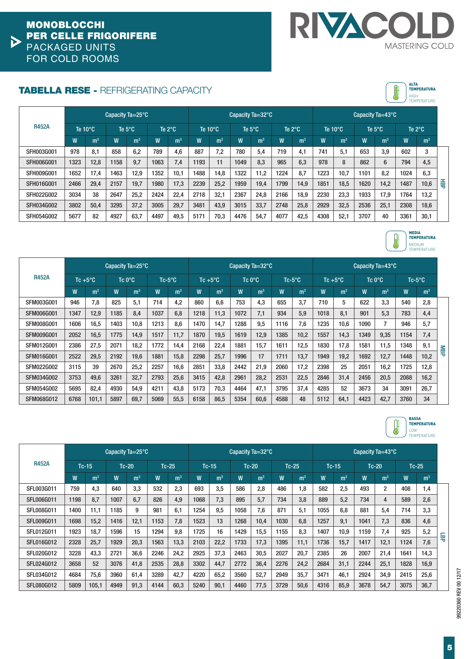

# TABELLA RESE - REFRIGERATING CAPACITY

|                   | Capacity $Ta = 25^{\circ}C$ |                   |      |                  |      |                  |      | Capacity $Ta = 32^{\circ}C$ |      |                  |      |                  |      | Capacity $Ta=43^{\circ}C$ |      |                  |      |                  |   |  |
|-------------------|-----------------------------|-------------------|------|------------------|------|------------------|------|-----------------------------|------|------------------|------|------------------|------|---------------------------|------|------------------|------|------------------|---|--|
| <b>R452A</b>      |                             | Te $10^{\circ}$ C |      | Te $5^{\circ}$ C |      | Te $2^{\circ}$ C |      | Te $10^{\circ}$ C           |      | Te $5^{\circ}$ C |      | Te $2^{\circ}$ C |      | Te $10^{\circ}$ C         |      | Te $5^{\circ}$ C |      | Te $2^{\circ}$ C |   |  |
|                   | W                           | m <sup>3</sup>    | W    | m <sup>3</sup>   | W    | m <sup>3</sup>   | W    | m <sup>3</sup>              | W    | m <sup>3</sup>   | W    | m <sup>3</sup>   | W    | m <sup>3</sup>            | W    | m <sup>3</sup>   | W    | m <sup>3</sup>   |   |  |
| SFH003G001        | 978                         | 8.1               | 858  | 6.2              | 789  | 4,6              | 887  | 7,2                         | 780  | 5,4              | 719  | 4,1              | 741  | 5.1                       | 653  | 3.9              | 602  | 3                |   |  |
| <b>SFH006G001</b> | 1323                        | 12,8              | 1158 | 9.7              | 1063 | 7,4              | 1193 | 11                          | 1049 | 8.3              | 965  | 6.3              | 978  | 8                         | 862  | 6                | 794  | 4,5              |   |  |
| <b>SFH009G001</b> | 1652                        | 17,4              | 1463 | 12.9             | 1352 | 10.1             | 1488 | 14,8                        | 1322 | 11.2             | 1224 | 8,7              | 1223 | 10.7                      | 1101 | 8.2              | 1024 | 6,3              |   |  |
| <b>SFH016G001</b> | 2466                        | 29,4              | 2157 | 19.7             | 1980 | 17,3             | 2239 | 25,2                        | 1959 | 19,4             | 1799 | 14.9             | 1851 | 18.5                      | 1620 | 14,2             | 1487 | 10,6             | 番 |  |
| SFH022G002        | 3034                        | 38                | 2647 | 25.2             | 2424 | 22.4             | 2718 | 32,1                        | 2367 | 24.8             | 2166 | 18,9             | 2230 | 23.3                      | 1933 | 17.9             | 1764 | 13,2             |   |  |
| SFH034G002        | 3802                        | 50,4              | 3295 | 37,2             | 3005 | 29.7             | 3481 | 43.9                        | 3015 | 33.7             | 2748 | 25.8             | 2929 | 32.5                      | 2536 | 25.1             | 2308 | 18.6             |   |  |
| SFH054G002        | 5677                        | 82                | 4927 | 63,7             | 4497 | 49,5             | 5171 | 70,3                        | 4476 | 54,7             | 4077 | 42,5             | 4308 | 52,1                      | 3707 | 40               | 3361 | 30,1             |   |  |



**ALTA<br>TEMPERATURA** HIGH TEMPERATURE

|                   |      |                   | Capacity $Ta = 25^{\circ}C$ |                  |      |                |                |                   | Capacity $Ta = 32^{\circ}C$ |                  |      |                |      |                   | Capacity $Ta=43^{\circ}C$ |                |      |                |     |
|-------------------|------|-------------------|-----------------------------|------------------|------|----------------|----------------|-------------------|-----------------------------|------------------|------|----------------|------|-------------------|---------------------------|----------------|------|----------------|-----|
| <b>R452A</b>      |      | Tc $+5^{\circ}$ C |                             | Tc $0^{\circ}$ C |      | $Tc-5$ °C      |                | Tc $+5^{\circ}$ C |                             | Tc $0^{\circ}$ C |      | $Tc-5$ °C      |      | Tc $+5^{\circ}$ C |                           | $Tc0^{\circ}C$ |      | $Tc-5$ °C      |     |
|                   | W    | m <sup>3</sup>    | W                           | m <sup>3</sup>   | W    | m <sup>3</sup> | $\overline{W}$ | m <sup>3</sup>    | W                           | m <sup>3</sup>   | W    | m <sup>3</sup> | W    | m <sup>3</sup>    | W                         | m <sup>3</sup> | W    | m <sup>3</sup> |     |
| SFM003G001        | 946  | 7.8               | 825                         | 5.1              | 714  | 4,2            | 860            | 6.6               | 753                         | 4,3              | 655  | 3.7            | 710  | 5                 | 622                       | 3.3            | 540  | 2.8            |     |
| <b>SFM006G001</b> | 1347 | 12,9              | 1185                        | 8.4              | 1037 | 6,8            | 1218           | 11,3              | 1072                        | 7,1              | 934  | 5,9            | 1018 | 8,1               | 901                       | 5,3            | 783  | 4,4            |     |
| <b>SFM008G001</b> | 1606 | 16,5              | 1403                        | 10,8             | 1213 | 8,6            | 1470           | 14,7              | 1288                        | 9,5              | 1116 | 7,6            | 1235 | 10,6              | 1090                      | 7              | 946  | 5.7            |     |
| <b>SFM009G001</b> | 2052 | 16,5              | 1775                        | 14.9             | 1517 | 11,7           | 1870           | 19,5              | 1619                        | 12,9             | 1385 | 10,2           | 1557 | 14,3              | 1349                      | 9,35           | 1154 | 7.4            |     |
| SFM012G001        | 2386 | 27,5              | 2071                        | 18,2             | 1772 | 14,4           | 2168           | 22,4              | 1881                        | 15,7             | 1611 | 12,5           | 1830 | 17,8              | 1581                      | 11,5           | 1348 | 9,1            | NBP |
| <b>SFM016G001</b> | 2522 | 29,5              | 2192                        | 19.6             | 1881 | 15,8           | 2298           | 25,7              | 1996                        | 17               | 1711 | 13,7           | 1949 | 19,2              | 1692                      | 12,7           | 1448 | 10.2           |     |
| <b>SFM022G002</b> | 3115 | 39                | 2670                        | 25,2             | 2257 | 16,6           | 2851           | 33,8              | 2442                        | 21,9             | 2060 | 17,2           | 2398 | 25                | 2051                      | 16.2           | 1725 | 12,8           |     |
| SFM034G002        | 3753 | 49,6              | 3261                        | 32,7             | 2793 | 25,6           | 3415           | 42,8              | 2961                        | 28,2             | 2531 | 22,5           | 2846 | 31,4              | 2456                      | 20,5           | 2088 | 16,2           |     |
| <b>SFM054G002</b> | 5695 | 82,4              | 4930                        | 54.9             | 4211 | 43,8           | 5173           | 70,3              | 4464                        | 47,1             | 3795 | 37,4           | 4285 | 52                | 3673                      | 34             | 3091 | 26.7           |     |
| SFM068G012        | 6768 | 101,1             | 5897                        | 69,7             | 5069 | 55,5           | 6158           | 86,5              | 5354                        | 60,6             | 4588 | 48             | 5112 | 64,1              | 4423                      | 42,7           | 3760 | 34             |     |



|                   |      | Capacity $Ta = 25^{\circ}C$ |      |                |      |                |      |                | Capacity $Ta = 32^{\circ}C$ |                |      |                |      |                |      | Capacity $Ta=43^{\circ}C$ |      |                |   |  |  |  |
|-------------------|------|-----------------------------|------|----------------|------|----------------|------|----------------|-----------------------------|----------------|------|----------------|------|----------------|------|---------------------------|------|----------------|---|--|--|--|
| <b>R452A</b>      |      | $Tc-15$                     |      | $Tc-20$        |      | $Tc-25$        |      | $Tc-15$        |                             | $Tc-20$        |      | $Tc-25$        |      | $Tc-15$        |      | $Tc-20$                   |      | $Tc-25$        |   |  |  |  |
|                   | W    | m <sup>3</sup>              | W    | m <sup>3</sup> | W    | m <sup>3</sup> | W    | m <sup>3</sup> | W                           | m <sup>3</sup> | W    | m <sup>3</sup> | W    | m <sup>3</sup> | W    | m <sup>3</sup>            | W    | m <sup>3</sup> |   |  |  |  |
| SFL003G011        | 759  | 4.3                         | 640  | 3.3            | 532  | 2,3            | 693  | 3,5            | 586                         | 2.8            | 486  | 1,8            | 582  | 2.5            | 493  | $\overline{2}$            | 408  | 1,4            |   |  |  |  |
| SFL006G011        | 1198 | 8.7                         | 1007 | 6.7            | 826  | 4,9            | 1068 | 7.3            | 895                         | 5.7            | 734  | 3.8            | 889  | 5.2            | 734  | 4                         | 589  | 2.6            |   |  |  |  |
| SFL008G011        | 1400 | 11,1                        | 1185 | 9              | 981  | 6,1            | 1254 | 9,5            | 1058                        | 7,6            | 871  | 5.1            | 1055 | 6.8            | 881  | 5,4                       | 714  | 3,3            |   |  |  |  |
| SFL009G011        | 1698 | 15,2                        | 1416 | 12,1           | 1153 | 7,8            | 1523 | 13             | 1268                        | 10,4           | 1030 | 6,8            | 1257 | 9,1            | 1041 | 7,3                       | 836  | 4,6            |   |  |  |  |
| SFL012G011        | 1923 | 18.7                        | 1596 | 15             | 1294 | 9.8            | 1725 | 16             | 1429                        | 15.5           | 1155 | 8.3            | 1407 | 10.9           | 1159 | 7,4                       | 925  | 5,2            | 듁 |  |  |  |
| SFL016G012        | 2328 | 25,7                        | 1929 | 20,3           | 1563 | 13,3           | 2103 | 22,2           | 1733                        | 17,3           | 1395 | 11,1           | 1736 | 15.7           | 1417 | 12,1                      | 1124 | 7.6            |   |  |  |  |
| SFL020G012        | 3228 | 43,3                        | 2721 | 36,6           | 2246 | 24,2           | 2925 | 37,3           | 2463                        | 30,5           | 2027 | 20,7           | 2385 | 26             | 2007 | 21,4                      | 1641 | 14,3           |   |  |  |  |
| SFL024G012        | 3658 | 52                          | 3076 | 41.8           | 2535 | 28,8           | 3302 | 44,7           | 2772                        | 36,4           | 2276 | 24,2           | 2684 | 31,1           | 2244 | 25,1                      | 1828 | 16,9           |   |  |  |  |
| SFL034G012        | 4684 | 75,6                        | 3960 | 61.4           | 3289 | 42,7           | 4220 | 65,2           | 3560                        | 52,7           | 2949 | 35,7           | 3471 | 46.1           | 2924 | 34,9                      | 2415 | 25,6           |   |  |  |  |
| <b>SFL080G012</b> | 5809 | 105,1                       | 4949 | 91,3           | 4144 | 60,3           | 5240 | 90,1           | 4460                        | 77,5           | 3729 | 50,6           | 4316 | 85,9           | 3678 | 54,7                      | 3075 | 36,7           |   |  |  |  |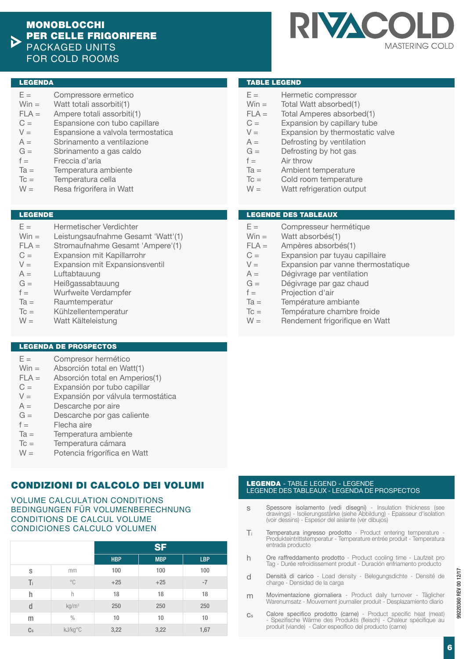

#### LEGENDA

- $E =$ Compressore ermetico
- $Win =$ Watt totali assorbiti(1)
- $FLA =$ Ampere totali assorbiti(1)
- $C =$ Espansione con tubo capillare
- $V =$ Espansione a valvola termostatica
- $A =$  $G =$ Sbrinamento a ventilazione Sbrinamento a gas caldo
- $f =$ Freccia d'aria
- $Ta =$
- Temperatura ambiente
- $T_c =$ Temperatura cella
- $W =$ Resa frigorifera in Watt

#### LEGENDE

- $E =$ Hermetischer Verdichter
- $Win =$ Leistungsaufnahme Gesamt 'Watt'(1)
- $FLA =$ Stromaufnahme Gesamt 'Ampere'(1)
- $C =$ Expansion mit Kapillarrohr
- $V -$ Expansion mit Expansionsventil
- $A =$ Luftabtauung
- $G =$ Heißgassabtauung
- $f =$ Wurfweite Verdampfer
- $Ta =$ Raumtemperatur
- $T_c =$ Kühlzellentemperatur
- $W =$ Watt Kälteleistung

## LEGENDA DE PROSPECTOS

- $F =$ Compresor hermético
- $Win =$ Absorción total en Watt(1)
- $FLA =$ Absorción total en Amperios(1)
- $C =$ Expansión por tubo capillar
- $V =$ Expansión por válvula termostática
- $A =$ Descarche por aire
- $G =$ Descarche por gas caliente
- $f =$ Flecha aire
- $Ta =$ Temperatura ambiente
- $T_c =$ Temperatura cámara
- $W =$ Potencia frigorífica en Watt

# CONDIZIONI DI CALCOLO DEI VOLUMI

## VOLUME CALCULATION CONDITIONS BEDINGUNGEN FÜR VOLUMENBERECHNUNG CONDITIONS DE CALCUL VOLUME CONDICIONES CALCULO VOLUMEN

|    |                   |            | <b>SF</b>  |            |
|----|-------------------|------------|------------|------------|
|    |                   | <b>HBP</b> | <b>MBP</b> | <b>LBP</b> |
| S  | mm                | 100        | 100        | 100        |
| Ti | $^{\circ}$ C      | $+25$      | $+25$      | $-7$       |
| h  | h                 | 18         | 18         | 18         |
| d  | kg/m <sup>3</sup> | 250        | 250        | 250        |
| m  | $\%$              | 10         | 10         | 10         |
| Cs | kJ/kg°C           | 3,22       | 3,22       | 1,67       |

## TABLE LEGEND

- $E =$ Hermetic compressor
- $Win =$ Total Watt absorbed(1)
- $FLA =$ Total Amperes absorbed(1)
- $C =$ Expansion by capillary tube
- $V =$ Expansion by thermostatic valve
- $A =$ Defrosting by ventilation
- $G =$ Defrosting by hot gas
- $f =$ Air throw
- $Ta =$ Ambient temperature
- $T_c =$ Cold room temperature
- $W =$ Watt refrigeration output

## LEGENDE DES TABLEAUX

- $E =$ Compresseur hermétique
- $Win =$ Watt absorbés(1)
- $FLA =$ Ampères absorbés(1)
- $C =$ Expansion par tuyau capillaire
- $V -$ Expansion par vanne thermostatique
- $A =$ Dégivrage par ventilation
- $G =$ Dégivrage par gaz chaud
- $f =$ Projection d'air
- $Ta =$ Température ambiante
- $T_c =$ Température chambre froide
- $W =$ Rendement frigorifique en Watt

#### LEGENDA - TABLE LEGEND - LEGENDE LEGENDE DES TABLEAUX - LEGENDA DE PROSPECTOS

- s Spessore isolamento (vedi disegni) - Insulation thickness (see drawings) - Isolierungsstärke (siehe Abbildung) - Epaisseur d'isolation (voir dessins) - Espesor del aislante (ver dibujos)
- Ti Temperatura ingresso prodotto - Product entering temperature - Produkteintrittstemperatur - Temperature entrée produit - Temperatura entrada producto
- h Ore raffreddamento prodotto - Product cooling time - Laufzeit pro Tag - Durée refroidissement produit - Duración enfriamento producto
- d Densità di carico - Load density - Belegungsdichte - Densité de charge - Densidad de la carga
- m Movimentazione giornaliera - Product daily turnover - Täglicher Warenumsatz - Mouvement journalier produit - Desplazamiento diario
- $C_{S}$ Calore specifico prodotto (carne) - Product specific heat (meat) - Spezifische Wärme des Produkts (fleisch) - Chaleur spécifique au produit (viande) - Calor específico del producto (carne)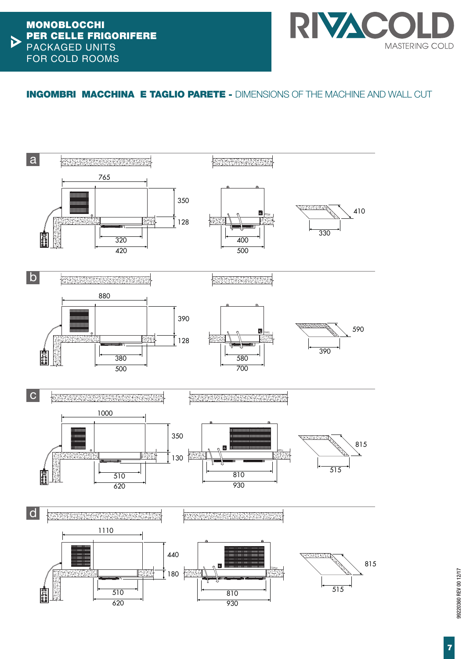

# INGOMBRI MACCHINA E TAGLIO PARETE - DIMENSIONS OF THE MACHINE AND WALL CUT